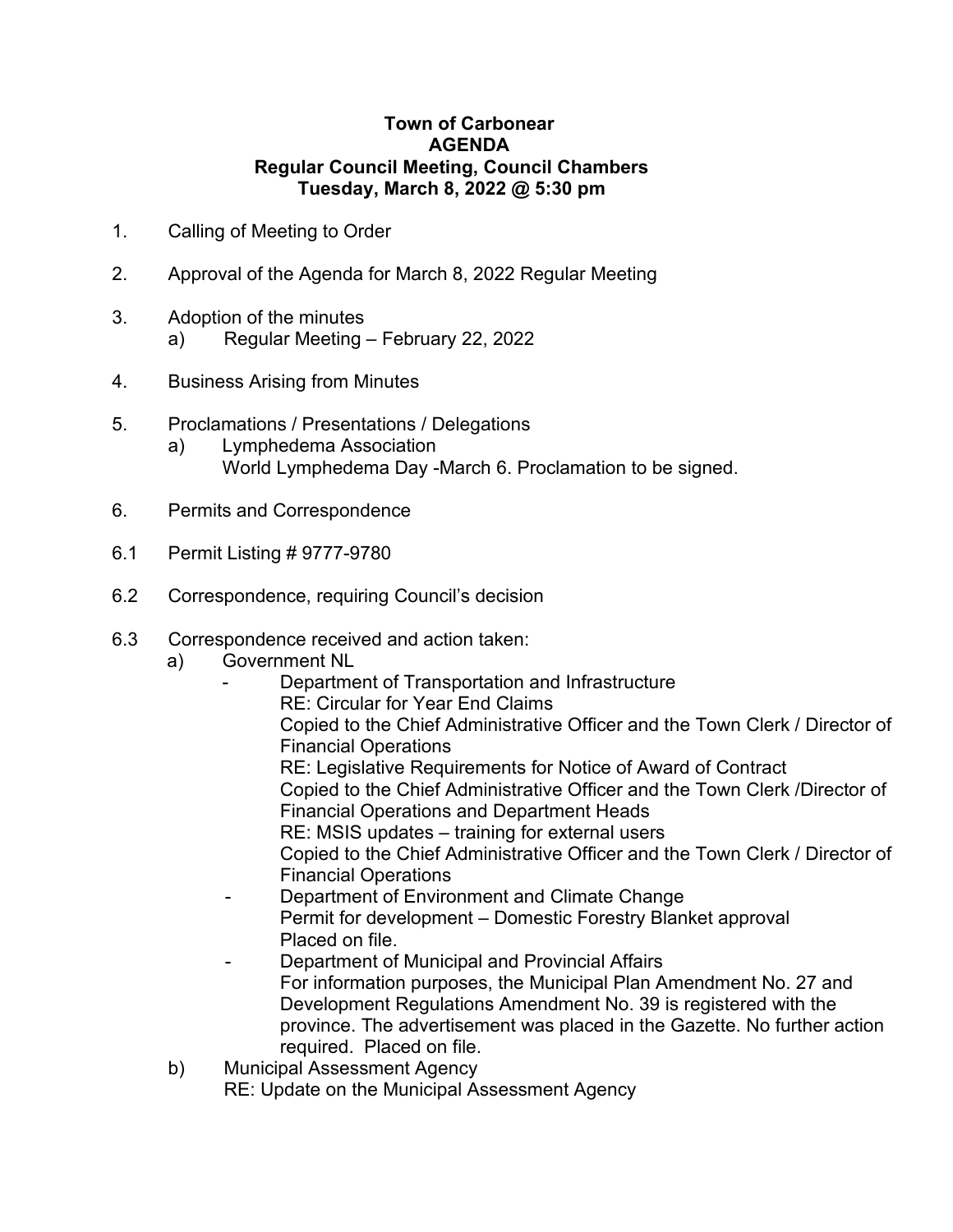## **Town of Carbonear AGENDA Regular Council Meeting, Council Chambers Tuesday, March 8, 2022 @ 5:30 pm**

- 1. Calling of Meeting to Order
- 2. Approval of the Agenda for March 8, 2022 Regular Meeting
- 3. Adoption of the minutes
	- a) Regular Meeting February 22, 2022
- 4. Business Arising from Minutes
- 5. Proclamations / Presentations / Delegations
	- a) Lymphedema Association World Lymphedema Day -March 6. Proclamation to be signed.
- 6. Permits and Correspondence
- 6.1 Permit Listing # 9777-9780
- 6.2 Correspondence, requiring Council's decision
- 6.3 Correspondence received and action taken:
	- a) Government NL
		- Department of Transportation and Infrastructure RE: Circular for Year End Claims Copied to the Chief Administrative Officer and the Town Clerk / Director of Financial Operations RE: Legislative Requirements for Notice of Award of Contract Copied to the Chief Administrative Officer and the Town Clerk /Director of Financial Operations and Department Heads RE: MSIS updates – training for external users Copied to the Chief Administrative Officer and the Town Clerk / Director of Financial Operations Department of Environment and Climate Change
			- Permit for development Domestic Forestry Blanket approval Placed on file.
			- Department of Municipal and Provincial Affairs For information purposes, the Municipal Plan Amendment No. 27 and Development Regulations Amendment No. 39 is registered with the province. The advertisement was placed in the Gazette. No further action required. Placed on file.
	- b) Municipal Assessment Agency
		- RE: Update on the Municipal Assessment Agency